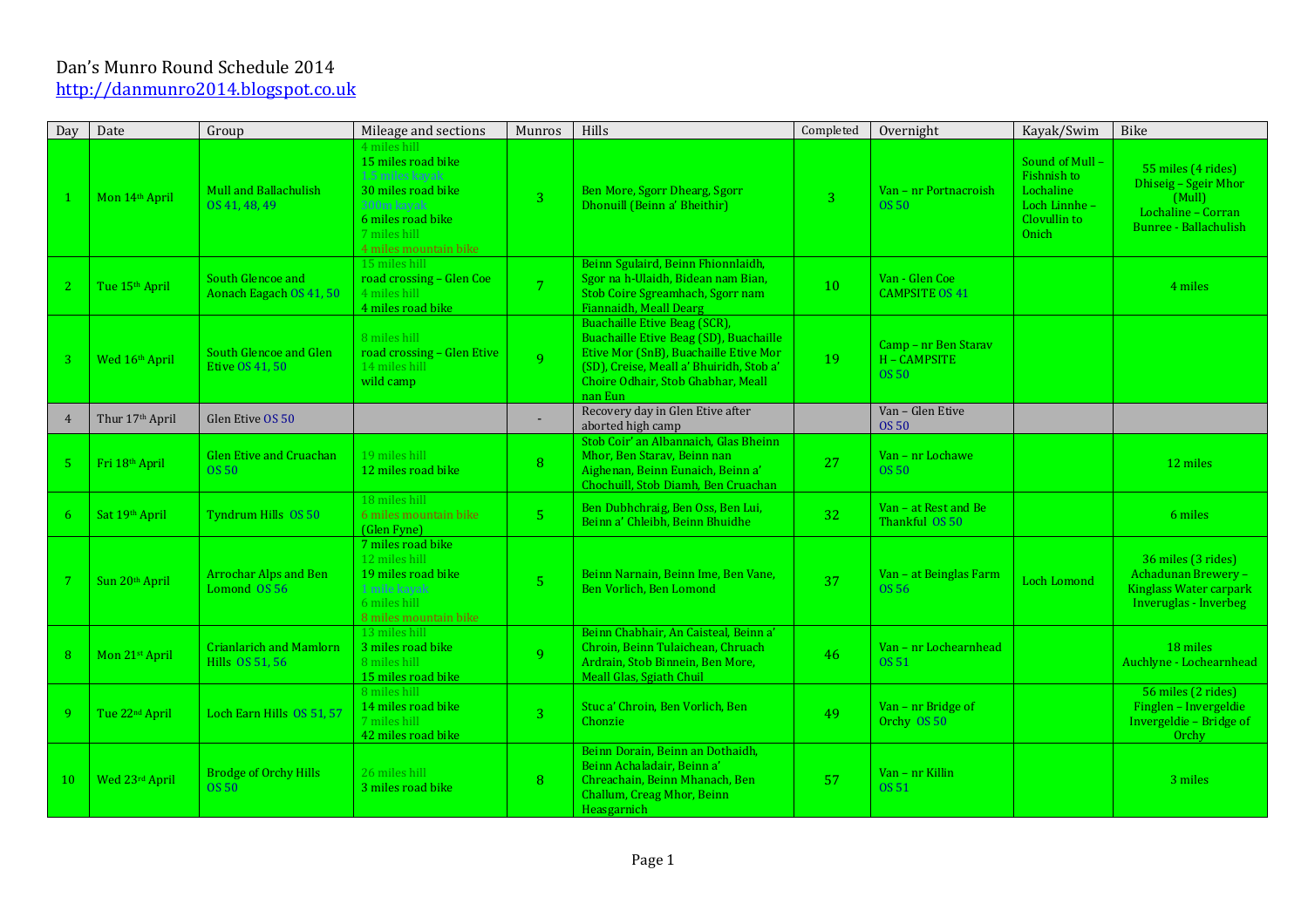## Dan's Munro Round Schedule 2014 http://danmunro2014.blogspot.co.uk

| Day             | Date                        | Group                                              | Mileage and sections                                                                                                                                    | Munros                   | Hills                                                                                                                                                                                                        | Completed    | Overnight                                            | Kayak/Swim                                                                          | Bike                                                                                                |
|-----------------|-----------------------------|----------------------------------------------------|---------------------------------------------------------------------------------------------------------------------------------------------------------|--------------------------|--------------------------------------------------------------------------------------------------------------------------------------------------------------------------------------------------------------|--------------|------------------------------------------------------|-------------------------------------------------------------------------------------|-----------------------------------------------------------------------------------------------------|
|                 | Mon 14th April              | Mull and Ballachulish<br>OS 41, 48, 49             | 4 miles hill<br>15 miles road bike<br>1.5 miles kavak<br>30 miles road bike<br>300m kayak<br>6 miles road bike<br>7 miles hill<br>4 miles mountain bike | $\overline{3}$           | Ben More, Sgorr Dhearg, Sgorr<br>Dhonuill (Beinn a' Bheithir)                                                                                                                                                | $\mathbf{R}$ | Van - nr Portnacroish<br>OS 50                       | Sound of Mull-<br>Fishnish to<br>Lochaline<br>Loch Linnhe-<br>Clovullin to<br>Onich | 55 miles (4 rides)<br>Dhiseig - Sgeir Mhor<br>(Mull)<br>Lochaline - Corran<br>Bunree - Ballachulish |
| 2               | Tue 15 <sup>th</sup> April  | South Glencoe and<br>Aonach Eagach OS 41, 50       | 15 miles hill<br>road crossing - Glen Coe<br>4 miles hill<br>4 miles road bike                                                                          | 7 <sup>°</sup>           | Beinn Sgulaird, Beinn Fhionnlaidh,<br>Sgor na h-Ulaidh, Bidean nam Bian,<br>Stob Coire Sgreamhach, Sgorr nam<br>Fiannaidh, Meall Dearg                                                                       | 10           | Van - Glen Coe<br><b>CAMPSITE OS 41</b>              |                                                                                     | 4 miles                                                                                             |
| 3               | Wed 16th April              | South Glencoe and Glen<br>Etive OS 41, 50          | 8 miles hill<br>road crossing - Glen Etive<br>14 miles hill<br>wild camp                                                                                | 9                        | Buachaille Etive Beag (SCR).<br>Buachaille Etive Beag (SD), Buachaille<br>Etive Mor (SnB), Buachaille Etive Mor<br>(SD), Creise, Meall a' Bhuiridh, Stob a'<br>Choire Odhair, Stob Ghabhar, Meall<br>nan Eun | 19           | Camp - nr Ben Starav<br>H - CAMPSITE<br><b>OS 50</b> |                                                                                     |                                                                                                     |
| $\overline{4}$  | Thur 17 <sup>th</sup> April | Glen Etive OS 50                                   |                                                                                                                                                         | $\overline{\phantom{a}}$ | Recovery day in Glen Etive after<br>aborted high camp                                                                                                                                                        |              | Van - Glen Etive<br><b>OS 50</b>                     |                                                                                     |                                                                                                     |
| 5 <sub>1</sub>  | Fri 18th April              | <b>Glen Etive and Cruachan</b><br>OS <sub>50</sub> | 19 miles hill<br>12 miles road bike                                                                                                                     | 8                        | Stob Coir' an Albannaich, Glas Bheinn<br>Mhor, Ben Staray, Beinn nan<br>Aighenan, Beinn Eunaich, Beinn a'<br>Chochuill, Stob Diamh, Ben Cruachan                                                             | 27           | Van - nr Lochawe<br>OS 50                            |                                                                                     | 12 miles                                                                                            |
| 6               | Sat 19th April              | Tyndrum Hills OS 50                                | 18 miles hill<br>6 miles mountain bike<br>(Glen Fyne)                                                                                                   | 5 <sup>1</sup>           | Ben Dubhchraig, Ben Oss, Ben Lui,<br>Beinn a' Chleibh, Beinn Bhuidhe                                                                                                                                         | 32           | Van - at Rest and Be<br>Thankful OS 50               |                                                                                     | 6 miles                                                                                             |
| $7\overline{ }$ | Sun 20 <sup>th</sup> April  | <b>Arrochar Alps and Ben</b><br>Lomond 0S 56       | 7 miles road bike<br>12 miles hill<br>19 miles road bike<br>1 mile kavak<br>6 miles hill<br>8 miles mountain bike                                       | 5 <sup>1</sup>           | Beinn Narnain, Beinn Ime, Ben Vane,<br>Ben Vorlich, Ben Lomond                                                                                                                                               | 37           | Van - at Beinglas Farm<br>OS 56                      | Loch Lomond                                                                         | 36 miles (3 rides)<br>Achadunan Brewery -<br>Kinglass Water carpark<br>Inveruglas - Inverbeg        |
| 8               | Mon 21st April              | <b>Crianlarich and Mamlorn</b><br>Hills OS 51, 56  | 13 miles hill<br>3 miles road bike<br>8 miles hill<br>15 miles road bike                                                                                | 9                        | Beinn Chabhair, An Caisteal, Beinn a'<br>Chroin, Beinn Tulaichean, Chruach<br>Ardrain, Stob Binnein, Ben More,<br><b>Meall Glas, Sgiath Chuil</b>                                                            | 46           | Van - nr Lochearnhead<br>0S 51                       |                                                                                     | 18 miles<br>Auchlyne - Lochearnhead                                                                 |
| 9               | Tue 22 <sup>nd</sup> April  | Loch Earn Hills OS 51, 57                          | 8 miles hill<br>14 miles road bike<br>7 miles hill<br>42 miles road bike                                                                                | 3 <sup>°</sup>           | Stuc a' Chroin, Ben Vorlich, Ben<br>Chonzie                                                                                                                                                                  | 49           | Van - nr Bridge of<br>Orchy OS 50                    |                                                                                     | 56 miles (2 rides)<br>Finglen - Invergeldie<br>Invergeldie - Bridge of<br>Orchy                     |
| 10              | Wed 23rd April              | <b>Brodge of Orchy Hills</b><br><b>OS 50</b>       | 26 miles hill<br>3 miles road bike                                                                                                                      | 8                        | Beinn Dorain, Beinn an Dothaidh,<br>Beinn Achaladair, Beinn a'<br>Chreachain, Beinn Mhanach, Ben<br>Challum, Creag Mhor, Beinn<br>Heasgarnich                                                                | 57           | Van - nr Killin<br>OS 51                             |                                                                                     | 3 miles                                                                                             |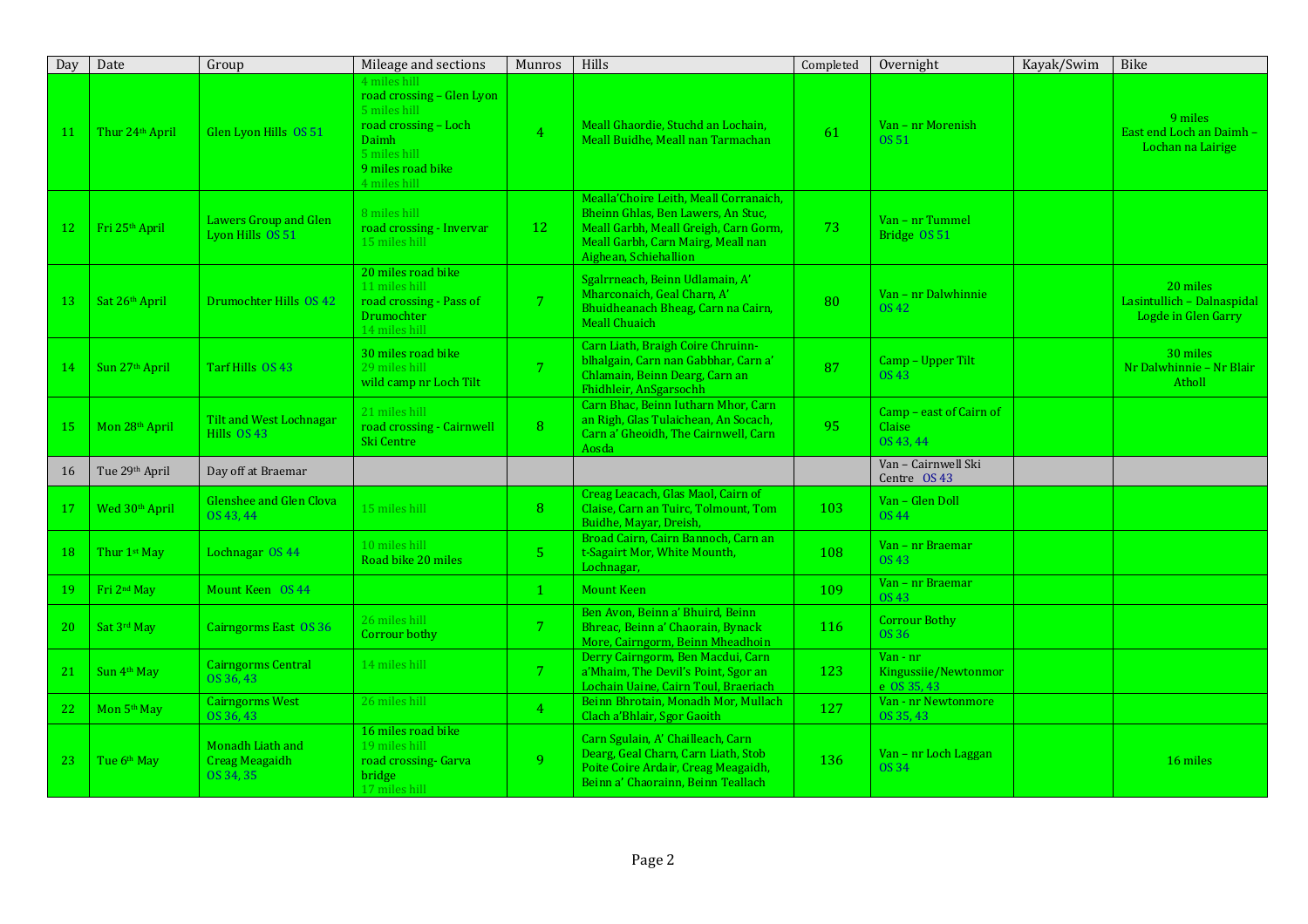| Day | Date                        | Group                                                  | Mileage and sections                                                                                                                            | Munros         | <b>Hills</b>                                                                                                                                                                         | Completed | Overnight                                       | Kayak/Swim | Bike                                                          |
|-----|-----------------------------|--------------------------------------------------------|-------------------------------------------------------------------------------------------------------------------------------------------------|----------------|--------------------------------------------------------------------------------------------------------------------------------------------------------------------------------------|-----------|-------------------------------------------------|------------|---------------------------------------------------------------|
| 11  | Thur 24 <sup>th</sup> April | Glen Lyon Hills OS 51                                  | 4 miles hill<br>road crossing - Glen Lyon<br>5 miles hill<br>road crossing - Loch<br>Daimh<br>5 miles hill<br>9 miles road bike<br>4 miles hill | $\overline{4}$ | Meall Ghaordie, Stuchd an Lochain,<br>Meall Buidhe, Meall nan Tarmachan                                                                                                              | 61        | Van - nr Morenish<br>OS 51                      |            | 9 miles<br>East end Loch an Daimh -<br>Lochan na Lairige      |
| 12  | Fri 25 <sup>th</sup> April  | Lawers Group and Glen<br>Lyon Hills OS 51              | 8 miles hill<br>road crossing - Invervar<br>15 miles hill                                                                                       | 12             | Mealla'Choire Leith, Meall Corranaich,<br>Bheinn Ghlas, Ben Lawers, An Stuc,<br>Meall Garbh, Meall Greigh, Carn Gorm,<br>Meall Garbh, Carn Mairg, Meall nan<br>Aighean, Schiehallion | 73        | Van - nr Tummel<br>Bridge OS 51                 |            |                                                               |
| 13  | Sat 26th April              | Drumochter Hills OS 42                                 | 20 miles road bike<br>11 miles hill<br>road crossing - Pass of<br>Drumochter<br>14 miles hill                                                   | 7 <sup>1</sup> | Sgalrrneach, Beinn Udlamain, A'<br>Mharconaich, Geal Charn, A'<br>Bhuidheanach Bheag, Carn na Cairn,<br><b>Meall Chuaich</b>                                                         | 80        | Van - nr Dalwhinnie<br><b>OS 42</b>             |            | 20 miles<br>Lasintullich - Dalnaspidal<br>Logde in Glen Garry |
| 14  | Sun 27 <sup>th</sup> April  | Tarf Hills OS 43                                       | 30 miles road bike<br>29 miles hill<br>wild camp nr Loch Tilt                                                                                   | 7 <sup>1</sup> | Carn Liath, Braigh Coire Chruinn-<br>blhalgain, Carn nan Gabbhar, Carn a'<br>Chlamain, Beinn Dearg, Carn an<br>Fhidhleir, AnSgarsochh                                                | 87        | Camp - Upper Tilt<br>OS 43                      |            | 30 miles<br>Nr Dalwhinnie - Nr Blair<br>Atholl                |
| 15  | Mon 28th April              | Tilt and West Lochnagar<br>Hills $OS$ 43               | 21 miles hill<br>road crossing - Cairnwell<br>Ski Centre                                                                                        | 8              | Carn Bhac, Beinn Iutharn Mhor, Carn<br>an Righ, Glas Tulaichean, An Socach,<br>Carn a' Gheoidh, The Cairnwell, Carn<br>Aosda                                                         | 95        | Camp - east of Cairn of<br>Claise<br>OS 43.44   |            |                                                               |
| 16  | Tue 29th April              | Day off at Braemar                                     |                                                                                                                                                 |                |                                                                                                                                                                                      |           | Van - Cairnwell Ski<br>Centre OS 43             |            |                                                               |
| 17  | Wed 30 <sup>th</sup> April  | <b>Glenshee and Glen Clova</b><br>OS 43, 44            | 15 miles hill                                                                                                                                   | 8              | Creag Leacach, Glas Maol, Cairn of<br>Claise, Carn an Tuirc, Tolmount, Tom<br>Buidhe, Mayar, Dreish,                                                                                 | 103       | Van - Glen Doll<br>OS 44                        |            |                                                               |
| 18  | Thur 1 <sup>st</sup> May    | Lochnagar OS 44                                        | 10 miles hill<br>Road bike 20 miles                                                                                                             | 5 <sup>1</sup> | Broad Cairn, Cairn Bannoch, Carn an<br>t-Sagairt Mor, White Mounth,<br>Lochnagar,                                                                                                    | 108       | Van - nr Braemar<br>OS 43                       |            |                                                               |
| 19  | Fri 2 <sup>nd</sup> May     | Mount Keen OS 44                                       |                                                                                                                                                 | $\mathbf{1}$   | <b>Mount Keen</b>                                                                                                                                                                    | 109       | Van - nr Braemar<br><b>OS 43</b>                |            |                                                               |
| 20  | Sat 3rd May                 | Cairngorms East OS 36                                  | 26 miles hill<br>Corrour bothy                                                                                                                  | 7 <sup>1</sup> | Ben Avon, Beinn a' Bhuird, Beinn<br>Bhreac, Beinn a' Chaorain, Bynack<br>More, Cairngorm, Beinn Mheadhoin                                                                            | 116       | <b>Corrour Bothy</b><br><b>OS 36</b>            |            |                                                               |
| 21  | Sun 4th May                 | <b>Cairngorms Central</b><br>OS 36.43                  | 14 miles hill                                                                                                                                   | 7 <sup>1</sup> | Derry Cairngorm, Ben Macdui, Carn<br>a' Mhaim, The Devil's Point, Sgor an<br>Lochain Uaine, Cairn Toul, Braeriach                                                                    | 123       | Van - nr<br>Kingussiie/Newtonmor<br>e OS 35, 43 |            |                                                               |
| 22  | Mon 5 <sup>th</sup> May     | <b>Cairngorms West</b><br>OS 36, 43                    | 26 miles hill                                                                                                                                   | 4 <sup>1</sup> | Beinn Bhrotain, Monadh Mor, Mullach<br>Clach a'Bhlair, Sgor Gaoith                                                                                                                   | 127       | Van - nr Newtonmore<br>OS 35, 43                |            |                                                               |
| 23  | Tue 6 <sup>th</sup> May     | Monadh Liath and<br><b>Creag Meagaidh</b><br>OS 34, 35 | 16 miles road bike<br>19 miles hill<br>road crossing- Garva<br>bridge<br>17 miles hill                                                          | 9              | Carn Sgulain, A' Chailleach, Carn<br>Dearg, Geal Charn, Carn Liath, Stob<br>Poite Coire Ardair, Creag Meagaidh,<br>Beinn a' Chaorainn, Beinn Teallach                                | 136       | Van - nr Loch Laggan<br><b>OS 34</b>            |            | 16 miles                                                      |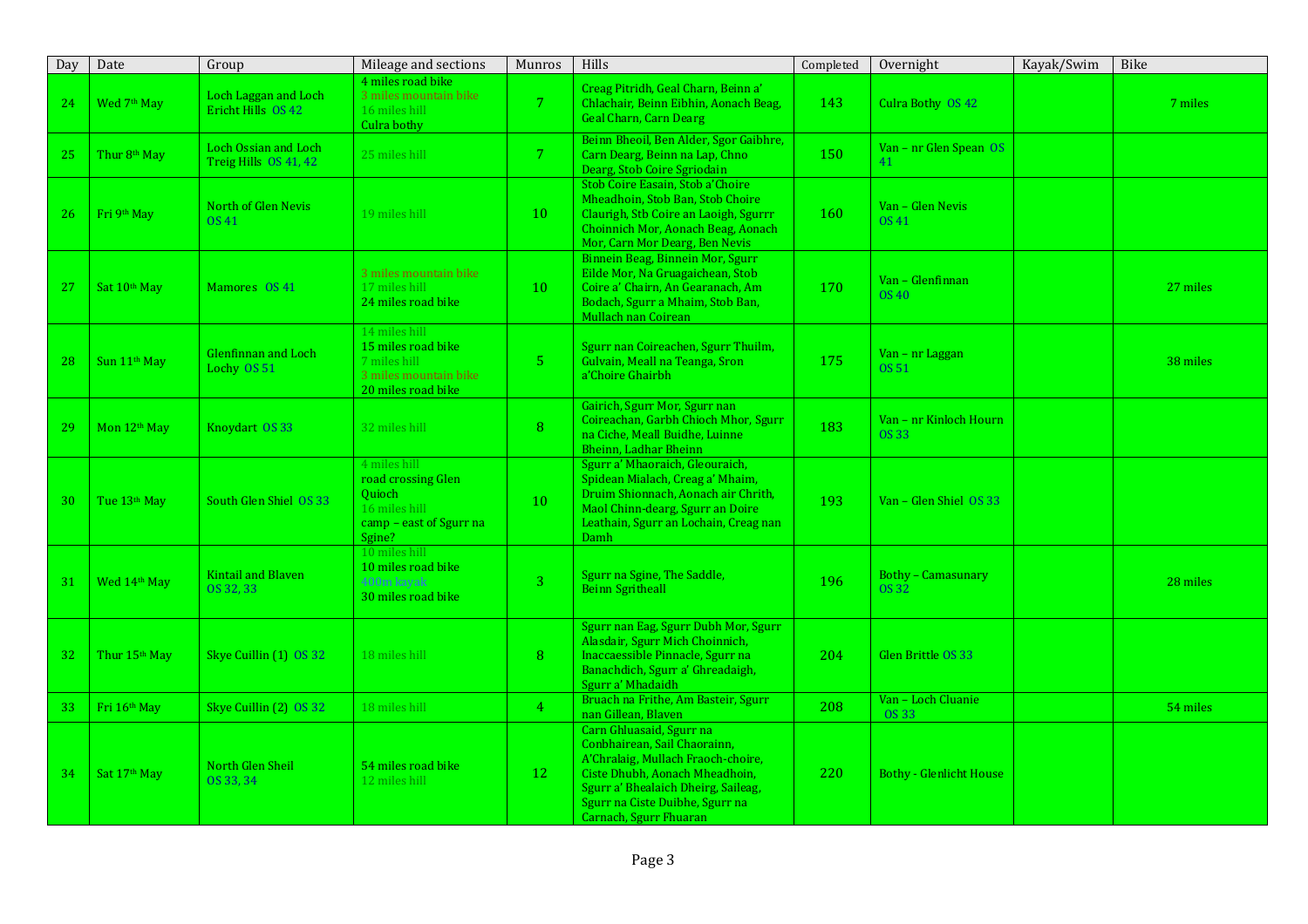| Day | Date                      | Group                                         | Mileage and sections                                                                                      | Munros         | <b>Hills</b>                                                                                                                                                                                                                         | Completed | Overnight                          | Kayak/Swim | Bike     |
|-----|---------------------------|-----------------------------------------------|-----------------------------------------------------------------------------------------------------------|----------------|--------------------------------------------------------------------------------------------------------------------------------------------------------------------------------------------------------------------------------------|-----------|------------------------------------|------------|----------|
| 24  | Wed 7th May               | Loch Laggan and Loch<br>Ericht Hills OS 42    | 4 miles road bike<br>3 miles mountain bike<br>16 miles hill<br>Culra bothy                                | 7 <sup>7</sup> | Creag Pitridh, Geal Charn, Beinn a'<br>Chlachair, Beinn Eibhin, Aonach Beag,<br><b>Geal Charn, Carn Dearg</b>                                                                                                                        | 143       | Culra Bothy OS 42                  |            | 7 miles  |
| 25  | Thur 8 <sup>th</sup> May  | Loch Ossian and Loch<br>Treig Hills OS 41, 42 | 25 miles hill                                                                                             | 7 <sup>7</sup> | Beinn Bheoil, Ben Alder, Sgor Gaibhre,<br>Carn Dearg, Beinn na Lap, Chno<br>Dearg, Stob Coire Sgriodain                                                                                                                              | 150       | Van - nr Glen Spean OS<br>41       |            |          |
| 26  | Fri 9th May               | North of Glen Nevis<br>OS 41                  | 19 miles hill                                                                                             | 10             | Stob Coire Easain, Stob a'Choire<br>Mheadhoin, Stob Ban, Stob Choire<br>Claurigh, Stb Coire an Laoigh, Sgurrr<br>Choinnich Mor, Aonach Beag, Aonach<br>Mor, Carn Mor Dearg, Ben Nevis                                                | 160       | Van - Glen Nevis<br>OS 41          |            |          |
| 27  | Sat 10 <sup>th</sup> May  | Mamores OS 41                                 | 3 miles mountain bike<br>17 miles hill<br>24 miles road bike                                              | 10             | Binnein Beag, Binnein Mor, Sgurr<br>Eilde Mor, Na Gruagaichean, Stob<br>Coire a' Chairn, An Gearanach, Am<br>Bodach, Sgurr a Mhaim, Stob Ban,<br>Mullach nan Coirean                                                                 | 170       | Van - Glenfinnan<br>OS 40          |            | 27 miles |
| 28  | Sun 11 <sup>th</sup> May  | Glenfinnan and Loch<br>Lochy OS 51            | 14 miles hill<br>15 miles road bike<br>7 miles hill<br>3 miles mountain bike<br>20 miles road bike        | 5 <sub>1</sub> | Sgurr nan Coireachen, Sgurr Thuilm,<br>Gulvain, Meall na Teanga, Sron<br>a'Choire Ghairbh                                                                                                                                            | 175       | Van – nr Laggan<br><b>OS 51</b>    |            | 38 miles |
| 29  | Mon 12 <sup>th</sup> May  | Knoydart OS 33                                | 32 miles hill                                                                                             | 8 <sup>°</sup> | Gairich, Sgurr Mor, Sgurr nan<br>Coireachan, Garbh Chioch Mhor, Sgurr<br>na Ciche, Meall Buidhe, Luinne<br>Bheinn, Ladhar Bheinn                                                                                                     | 183       | Van - nr Kinloch Hourn<br>OS 33    |            |          |
| 30  | Tue 13 <sup>th</sup> May  | South Glen Shiel OS 33                        | 4 miles hill<br>road crossing Glen<br><b>Ouioch</b><br>16 miles hill<br>camp - east of Sgurr na<br>Sgine? | 10             | Sgurr a' Mhaoraich, Gleouraich,<br>Spidean Mialach, Creag a' Mhaim,<br>Druim Shionnach, Aonach air Chrith,<br>Maol Chinn-dearg, Sgurr an Doire<br>Leathain, Sgurr an Lochain, Creag nan<br>Damh                                      | 193       | Van - Glen Shiel OS 33             |            |          |
| 31  | Wed 14th May              | <b>Kintail and Blaven</b><br>OS 32, 33        | 10 miles hill<br>10 miles road bike<br>400m kayak<br>30 miles road bike                                   | 3 <sup>1</sup> | Sgurr na Sgine, The Saddle,<br><b>Beinn Sgritheall</b>                                                                                                                                                                               | 196       | <b>Bothy - Camasunary</b><br>OS 32 |            | 28 miles |
| 32  | Thur 15 <sup>th</sup> May | Skye Cuillin (1) OS 32                        | 18 miles hill                                                                                             | 8              | Sgurr nan Eag, Sgurr Dubh Mor, Sgurr<br>Alasdair, Sgurr Mich Choinnich,<br>Inaccaessible Pinnacle, Sgurr na<br>Banachdich, Sgurr a' Ghreadaigh,<br>Sgurr a' Mhadaidh                                                                 | 204       | Glen Brittle OS 33                 |            |          |
| 33  | Fri 16th May              | Skye Cuillin (2) OS 32                        | 18 miles hill                                                                                             | 4 <sup>1</sup> | Bruach na Frithe, Am Basteir, Sgurr<br>nan Gillean, Blaven                                                                                                                                                                           | 208       | Van - Loch Cluanie<br>OS 33        |            | 54 miles |
| 34  | Sat 17 <sup>th</sup> May  | North Glen Sheil<br>OS 33.34                  | 54 miles road bike<br>12 miles hill                                                                       | 12             | Carn Ghluasaid, Sgurr na<br>Conbhairean, Sail Chaorainn,<br>A'Chralaig, Mullach Fraoch-choire,<br>Ciste Dhubh, Aonach Mheadhoin,<br>Sgurr a' Bhealaich Dheirg, Saileag,<br>Sgurr na Ciste Duibhe, Sgurr na<br>Carnach, Sgurr Fhuaran | 220       | <b>Bothy - Glenlicht House</b>     |            |          |